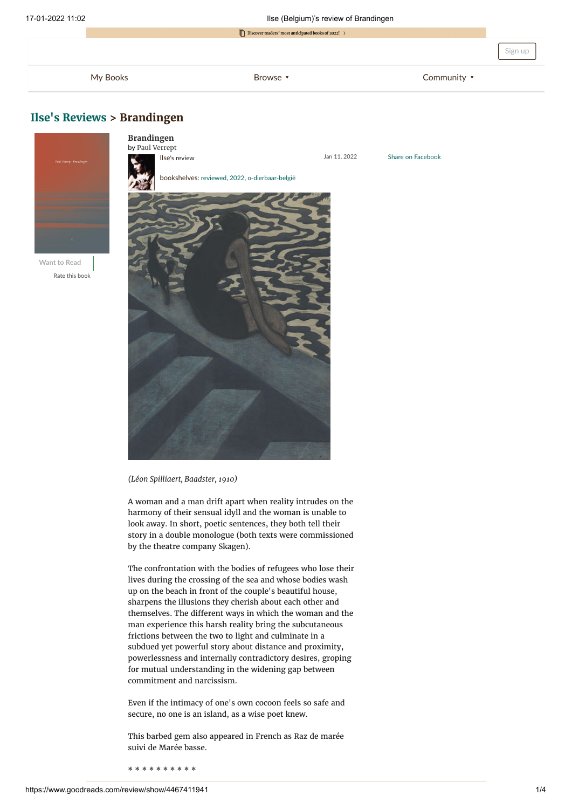Share on Facebook



## **[Ilse's Reviews](https://www.goodreads.com/review/list/22848274-ilse?shelf=read) > Brandingen**



**Want to Read** Rate this book



*(Léon Spilliaert, Baadster, 1910)*

A woman and a man drift apart when reality intrudes on the harmony of their sensual idyll and the woman is unable to look away. In short, poetic sentences, they both tell their story in a double monologue (both texts were commissioned by the theatre company Skagen).

The confrontation with the bodies of refugees who lose their lives during the crossing of the sea and whose bodies wash up on the beach in front of the couple's beautiful house, sharpens the illusions they cherish about each other and themselves. The different ways in which the woman and the man experience this harsh reality bring the subcutaneous frictions between the two to light and culminate in a subdued yet powerful story about distance and proximity, powerlessness and internally contradictory desires, groping for mutual understanding in the widening gap between commitment and narcissism.

Even if the intimacy of one's own cocoon feels so safe and secure, no one is an island, as a wise poet knew.

This barbed gem also appeared in French as Raz de marée suivi de Marée basse.

\* \* \* \* \* \* \* \* \* \*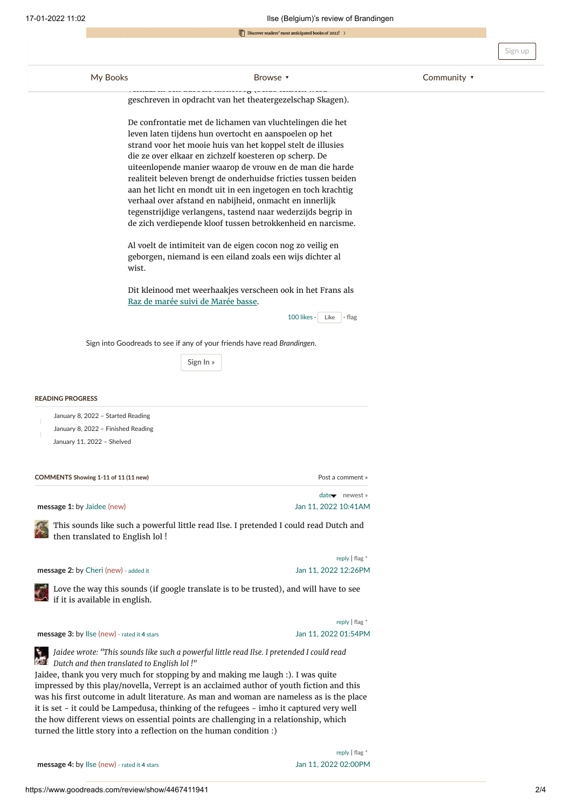| 17-01-2022 11:02                                                 | Ilse (Belgium)'s review of Brandingen<br>$\Box$ Discover readers' most anticipated books of 2022! > |                                                                                                                                                                                                                                                                                                                                                                                                                                                                                                                                                                                                                                                                                                                                                                                                                                |                  |             |         |
|------------------------------------------------------------------|-----------------------------------------------------------------------------------------------------|--------------------------------------------------------------------------------------------------------------------------------------------------------------------------------------------------------------------------------------------------------------------------------------------------------------------------------------------------------------------------------------------------------------------------------------------------------------------------------------------------------------------------------------------------------------------------------------------------------------------------------------------------------------------------------------------------------------------------------------------------------------------------------------------------------------------------------|------------------|-------------|---------|
|                                                                  |                                                                                                     |                                                                                                                                                                                                                                                                                                                                                                                                                                                                                                                                                                                                                                                                                                                                                                                                                                |                  |             |         |
|                                                                  |                                                                                                     |                                                                                                                                                                                                                                                                                                                                                                                                                                                                                                                                                                                                                                                                                                                                                                                                                                |                  |             | Sign up |
| My Books                                                         |                                                                                                     | Browse v                                                                                                                                                                                                                                                                                                                                                                                                                                                                                                                                                                                                                                                                                                                                                                                                                       |                  | Community v |         |
|                                                                  |                                                                                                     | geschreven in opdracht van het theatergezelschap Skagen).                                                                                                                                                                                                                                                                                                                                                                                                                                                                                                                                                                                                                                                                                                                                                                      |                  |             |         |
|                                                                  | wist.                                                                                               | De confrontatie met de lichamen van vluchtelingen die het<br>leven laten tijdens hun overtocht en aanspoelen op het<br>strand voor het mooie huis van het koppel stelt de illusies<br>die ze over elkaar en zichzelf koesteren op scherp. De<br>uiteenlopende manier waarop de vrouw en de man die harde<br>realiteit beleven brengt de onderhuidse fricties tussen beiden<br>aan het licht en mondt uit in een ingetogen en toch krachtig<br>verhaal over afstand en nabijheid, onmacht en innerlijk<br>tegenstrijdige verlangens, tastend naar wederzijds begrip in<br>de zich verdiepende kloof tussen betrokkenheid en narcisme.<br>Al voelt de intimiteit van de eigen cocon nog zo veilig en<br>geborgen, niemand is een eiland zoals een wijs dichter al<br>Dit kleinood met weerhaakjes verscheen ook in het Frans als |                  |             |         |
|                                                                  | Raz de marée suivi de Marée basse.                                                                  | $100$ likes $\cdot$ Like                                                                                                                                                                                                                                                                                                                                                                                                                                                                                                                                                                                                                                                                                                                                                                                                       | $\cdot$ flag     |             |         |
|                                                                  |                                                                                                     | Sign into Goodreads to see if any of your friends have read Brandingen.                                                                                                                                                                                                                                                                                                                                                                                                                                                                                                                                                                                                                                                                                                                                                        |                  |             |         |
|                                                                  | Sign In »                                                                                           |                                                                                                                                                                                                                                                                                                                                                                                                                                                                                                                                                                                                                                                                                                                                                                                                                                |                  |             |         |
| <b>READING PROGRESS</b>                                          |                                                                                                     |                                                                                                                                                                                                                                                                                                                                                                                                                                                                                                                                                                                                                                                                                                                                                                                                                                |                  |             |         |
| January 8, 2022 - Started Reading                                |                                                                                                     |                                                                                                                                                                                                                                                                                                                                                                                                                                                                                                                                                                                                                                                                                                                                                                                                                                |                  |             |         |
| January 8, 2022 - Finished Reading<br>January 11, 2022 - Shelved |                                                                                                     |                                                                                                                                                                                                                                                                                                                                                                                                                                                                                                                                                                                                                                                                                                                                                                                                                                |                  |             |         |
|                                                                  |                                                                                                     |                                                                                                                                                                                                                                                                                                                                                                                                                                                                                                                                                                                                                                                                                                                                                                                                                                |                  |             |         |
| COMMENTS Showing 1-11 of 11 (11 new)                             |                                                                                                     |                                                                                                                                                                                                                                                                                                                                                                                                                                                                                                                                                                                                                                                                                                                                                                                                                                | Post a comment » |             |         |
|                                                                  |                                                                                                     |                                                                                                                                                                                                                                                                                                                                                                                                                                                                                                                                                                                                                                                                                                                                                                                                                                | date newest »    |             |         |

<span id="page-1-4"></span><span id="page-1-1"></span><span id="page-1-0"></span>**message 1:** by [Jaidee](https://www.goodreads.com/user/show/17295672-jaidee) (new) Jan 11, 2022 [10:41AM](#page-1-0)

[T](https://www.goodreads.com/user/show/17295672-jaidee)his sounds like such a powerful little read Ilse. I pretended I could read Dutch and then translated to English lol !

<span id="page-1-2"></span>**message 2:** by [Cheri](https://www.goodreads.com/user/show/106692-cheri) (new) - [added](https://www.goodreads.com/review/show/4468112198) it Jan 11, 2022 [12:26PM](#page-1-1)

reply | [flag](https://www.goodreads.com/flagged/new?resource_id=243631309&resource_type=Comment&return_url=https%3A%2F%2Fwww.goodreads.com%2Freview%2Fshow%2F4467411941) \*

[L](https://www.goodreads.com/user/show/106692-cheri)ove the way this sounds (if google translate is to be trusted), and will have to see if it is available in english.

**message 3:** by [Ilse](https://www.goodreads.com/user/show/22848274-ilse) (new) - [rated](https://www.goodreads.com/review/show/4467411941) it **4** stars Jan 11, 2022 [01:54PM](#page-1-2)

reply | [flag](https://www.goodreads.com/flagged/new?resource_id=243635839&resource_type=Comment&return_url=https%3A%2F%2Fwww.goodreads.com%2Freview%2Fshow%2F4467411941) \*



<span id="page-1-3"></span>Jaidee, thank you very much for stopping by and making me laugh :). I was quite impressed by this play/novella, Verrept is an acclaimed author of youth fiction and this was his first outcome in adult literature. As man and woman are nameless as is the place it is set - it could be Lampedusa, thinking of the refugees - imho it captured very well the how different views on essential points are challenging in a relationship, which turned the little story into a reflection on the human condition :)

**message 4:** by [Ilse](https://www.goodreads.com/user/show/22848274-ilse) (new) - [rated](https://www.goodreads.com/review/show/4467411941) it 4 stars Jan 11, 2022 02:00 PM

reply | [flag](https://www.goodreads.com/flagged/new?resource_id=243639567&resource_type=Comment&return_url=https%3A%2F%2Fwww.goodreads.com%2Freview%2Fshow%2F4467411941) \*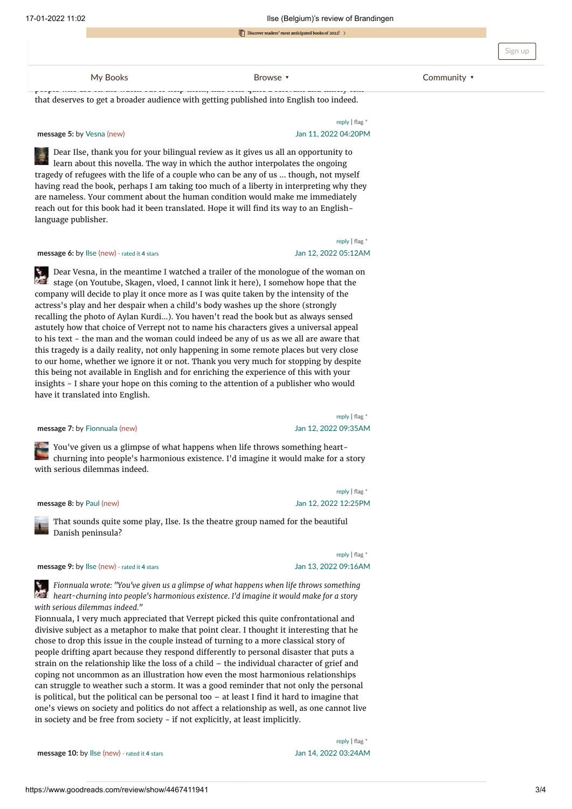**[refugees arriving from France in England](https://www.goodreads.com/review/list?ref=nav_mybooks) crossing from France in England [crossing the canal in little boats and the](https://www.goodreads.com/book?ref=nav_brws) canal in little boats and the canal in little boats and the canal in little boats and the canal in little** 

[Community](https://www.goodreads.com/group?ref=nav_comm)  $\cdot$ 

<span id="page-2-0"></span>people who are on the watch out to help them, the watch out the second possessed and time timely text. that deserves to get a broader audience with getting published into English too indeed.

### **message 5:** by [Vesna](https://www.goodreads.com/user/show/59785585-vesna) (new) **12002** [04:20PM](#page-2-0)

## reply | [flag](https://www.goodreads.com/flagged/new?resource_id=243639831&resource_type=Comment&return_url=https%3A%2F%2Fwww.goodreads.com%2Freview%2Fshow%2F4467411941) \*

<span id="page-2-1"></span>[D](https://www.goodreads.com/user/show/59785585-vesna)ear Ilse, thank you for your bilingual review as it gives us all an opportunity to learn about this novella. The way in which the author interpolates the ongoing tragedy of refugees with the life of a couple who can be any of us ... though, not myself having read the book, perhaps I am taking too much of a liberty in interpreting why they are nameless. Your comment about the human condition would make me immediately reach out for this book had it been translated. Hope it will find its way to an Englishlanguage publisher.

### **message 6:** by [Ilse](https://www.goodreads.com/user/show/22848274-ilse) (new) - [rated](https://www.goodreads.com/review/show/4467411941) it **4** stars Jan 12, 2022 [05:12AM](#page-2-1)

# reply | [flag](https://www.goodreads.com/flagged/new?resource_id=243645547&resource_type=Comment&return_url=https%3A%2F%2Fwww.goodreads.com%2Freview%2Fshow%2F4467411941) \*

<span id="page-2-2"></span>[D](https://www.goodreads.com/user/show/22848274-ilse)ear Vesna, in the meantime I watched a trailer of the monologue of the woman on stage (on Youtube, Skagen, vloed, I cannot link it here), I somehow hope that the company will decide to play it once more as I was quite taken by the intensity of the actress's play and her despair when a child's body washes up the shore (strongly recalling the photo of Aylan Kurdi...). You haven't read the book but as always sensed astutely how that choice of Verrept not to name his characters gives a universal appeal to his text - the man and the woman could indeed be any of us as we all are aware that this tragedy is a daily reality, not only happening in some remote places but very close to our home, whether we ignore it or not. Thank you very much for stopping by despite this being not available in English and for enriching the experience of this with your insights - I share your hope on this coming to the attention of a publisher who would have it translated into English.

#### <span id="page-2-3"></span>**message 7:** by [Fionnuala](https://www.goodreads.com/user/show/5498525-fionnuala) (new) **1.1.1.1.1.1.1.1.2022 [09:35AM](#page-2-2)**

reply | [flag](https://www.goodreads.com/flagged/new?resource_id=243663491&resource_type=Comment&return_url=https%3A%2F%2Fwww.goodreads.com%2Freview%2Fshow%2F4467411941) \*

[Y](https://www.goodreads.com/user/show/5498525-fionnuala)ou've given us a glimpse of what happens when life throws something heartchurning into people's harmonious existence. I'd imagine it would make for a story with serious dilemmas indeed.

<span id="page-2-4"></span>**message 8:** by [Paul](https://www.goodreads.com/user/show/30751659-paul) (new) Jan 12, 2022 [12:25PM](#page-2-3)

reply | [flag](https://www.goodreads.com/flagged/new?resource_id=243674488&resource_type=Comment&return_url=https%3A%2F%2Fwww.goodreads.com%2Freview%2Fshow%2F4467411941) \*

[T](https://www.goodreads.com/user/show/30751659-paul)hat sounds quite some play, Ilse. Is the theatre group named for the beautiful Danish peninsula?

### **message 9:** by [Ilse](https://www.goodreads.com/user/show/22848274-ilse) (new) - [rated](https://www.goodreads.com/review/show/4467411941) it 4 stars Jan 13, 2022 [09:16AM](#page-2-4)

reply | [flag](https://www.goodreads.com/flagged/new?resource_id=243682680&resource_type=Comment&return_url=https%3A%2F%2Fwww.goodreads.com%2Freview%2Fshow%2F4467411941) \*

*[F](https://www.goodreads.com/user/show/22848274-ilse)ionnuala wrote: "You've given us a glimpse of what happens when life throws something heart-churning into people's harmonious existence. I'd imagine it would make for a story with serious dilemmas indeed."*

<span id="page-2-5"></span>Fionnuala, I very much appreciated that Verrept picked this quite confrontational and divisive subject as a metaphor to make that point clear. I thought it interesting that he chose to drop this issue in the couple instead of turning to a more classical story of people drifting apart because they respond differently to personal disaster that puts a strain on the relationship like the loss of a child – the individual character of grief and coping not uncommon as an illustration how even the most harmonious relationships can struggle to weather such a storm. It was a good reminder that not only the personal is political, but the political can be personal too – at least I find it hard to imagine that one's views on society and politics do not affect a relationship as well, as one cannot live in society and be free from society - if not explicitly, at least implicitly.

**message 10:** by [Ilse](https://www.goodreads.com/user/show/22848274-ilse) (new) - [rated](https://www.goodreads.com/review/show/4467411941) it **4** stars **10: 10: 10: 10: 10: 11: 11: 12: 12: 14: 10: 14: 2022 [03:24AM](#page-2-5)** 

reply | [flag](https://www.goodreads.com/flagged/new?resource_id=243721643&resource_type=Comment&return_url=https%3A%2F%2Fwww.goodreads.com%2Freview%2Fshow%2F4467411941) \*